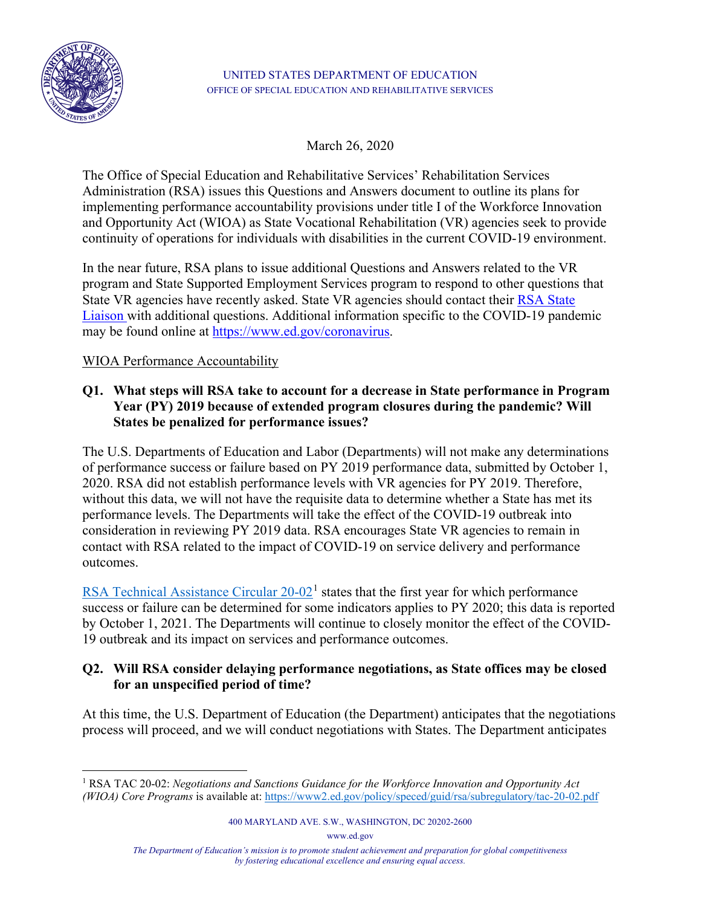

March 26, 2020

The Office of Special Education and Rehabilitative Services' Rehabilitation Services Administration (RSA) issues this Questions and Answers document to outline its plans for implementing performance accountability provisions under title I of the Workforce Innovation and Opportunity Act (WIOA) as State Vocational Rehabilitation (VR) agencies seek to provide continuity of operations for individuals with disabilities in the current COVID-19 environment.

In the near future, RSA plans to issue additional Questions and Answers related to the VR program and State Supported Employment Services program to respond to other questions that State VR agencies have recently asked. State VR agencies should contact their [RSA State](https://rsa.ed.gov/people.cfm)  [Liaison](https://rsa.ed.gov/people.cfm) with additional questions. Additional information specific to the COVID-19 pandemic may be found online at [https://www.ed.gov/coronavirus.](https://www.ed.gov/coronavirus)

WIOA Performance Accountability

## **Q1. What steps will RSA take to account for a decrease in State performance in Program Year (PY) 2019 because of extended program closures during the pandemic? Will States be penalized for performance issues?**

The U.S. Departments of Education and Labor (Departments) will not make any determinations of performance success or failure based on PY 2019 performance data, submitted by October 1, 2020. RSA did not establish performance levels with VR agencies for PY 2019. Therefore, without this data, we will not have the requisite data to determine whether a State has met its performance levels. The Departments will take the effect of the COVID-19 outbreak into consideration in reviewing PY 2019 data. RSA encourages State VR agencies to remain in contact with RSA related to the impact of COVID-19 on service delivery and performance outcomes.

RSA Technical Assistance Circular  $20-02<sup>1</sup>$  $20-02<sup>1</sup>$  $20-02<sup>1</sup>$  states that the first year for which performance success or failure can be determined for some indicators applies to PY 2020; this data is reported by October 1, 2021. The Departments will continue to closely monitor the effect of the COVID-19 outbreak and its impact on services and performance outcomes.

## **Q2. Will RSA consider delaying performance negotiations, as State offices may be closed for an unspecified period of time?**

At this time, the U.S. Department of Education (the Department) anticipates that the negotiations process will proceed, and we will conduct negotiations with States. The Department anticipates

www.ed.gov

<span id="page-0-0"></span><sup>1</sup> RSA TAC 20-02: *Negotiations and Sanctions Guidance for the Workforce Innovation and Opportunity Act (WIOA) Core Programs* is available at:<https://www2.ed.gov/policy/speced/guid/rsa/subregulatory/tac-20-02.pdf>

<sup>400</sup> MARYLAND AVE. S.W., WASHINGTON, DC 20202-2600

*The Department of Education's mission is to promote student achievement and preparation for global competitiveness by fostering educational excellence and ensuring equal access.*